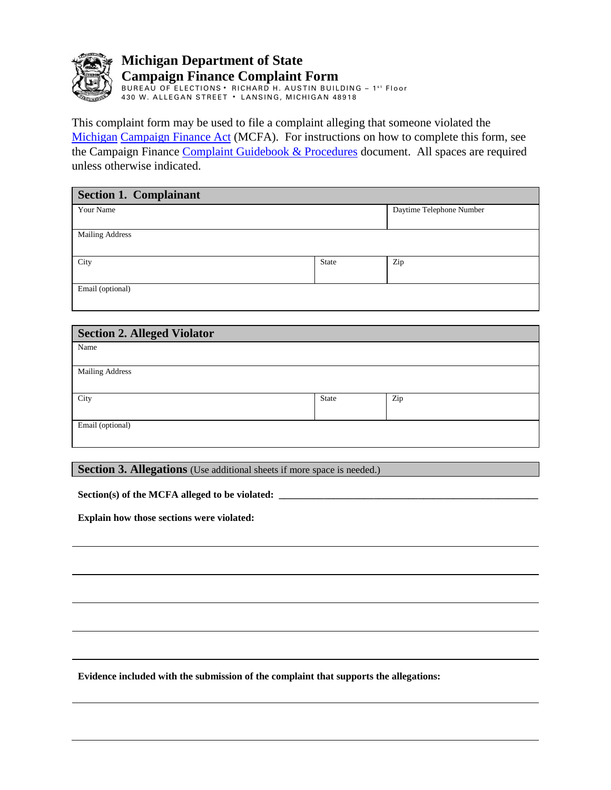

## **Michigan Department of State Campaign Finance Complaint Form**

BUREAU OF ELECTIONS• RICHARD H. AUSTIN BUILDING – 1°' Floor 430 W. ALLEGAN STREET LANSING, MICHIGAN 48918

This complaint form may be used to file a complaint alleging that someone violated the Michigan [Campaign Fi](http://www.legislature.mi.gov/(S(nmek0prlsnl2vrdnjswtj3d2))/mileg.aspx?page=GetObject&objectname=mcl-Act-388-of-1976)nance Act (MCFA). For instructions on how to complete this form, see the Campaign Finance [Complaint Guidebook](https://www.michigan.gov/documents/sos/Complaint_Guidebook__Procedures_660411_7.pdf) & Procedures document. All spaces are required unless otherwise indicated.

| <b>Section 1. Complainant</b> |       |                          |  |
|-------------------------------|-------|--------------------------|--|
| Your Name                     |       | Daytime Telephone Number |  |
|                               |       |                          |  |
| <b>Mailing Address</b>        |       |                          |  |
|                               |       |                          |  |
| City                          | State | Zip                      |  |
|                               |       |                          |  |
| Email (optional)              |       |                          |  |
|                               |       |                          |  |

| <b>Section 2. Alleged Violator</b> |       |     |  |
|------------------------------------|-------|-----|--|
| Name                               |       |     |  |
| <b>Mailing Address</b>             |       |     |  |
| City                               | State | Zip |  |
|                                    |       |     |  |
| Email (optional)                   |       |     |  |

**Section 3. Allegations** (Use additional sheets if more space is needed.)

Section(s) of the MCFA alleged to be violated:

**Explain how those sections were violated:**

**Evidence included with the submission of the complaint that supports the allegations:**